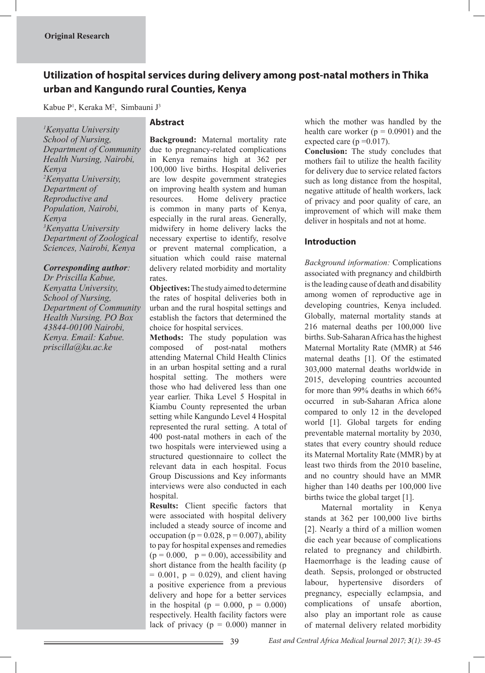# **Utilization of hospital services during delivery among post-natal mothers in Thika urban and Kangundo rural Counties, Kenya**

Kabue P<sup>1</sup>, Keraka M<sup>2</sup>, Simbauni J<sup>3</sup>

*1 Kenyatta University School of Nursing, Department of Community Health Nursing, Nairobi, Kenya 2 Kenyatta University, Department of Reproductive and Population, Nairobi, Kenya 3 Kenyatta University Department of Zoological Sciences, Nairobi, Kenya* 

## *Corresponding author:*

*Dr Priscilla Kabue, Kenyatta University, School of Nursing, Department of Community Health Nursing. PO Box 43844-00100 Nairobi, Kenya. Email: Kabue. priscilla@ku.ac.ke*

# **Abstract**

**Background:** Maternal mortality rate due to pregnancy-related complications in Kenya remains high at 362 per 100,000 live births. Hospital deliveries are low despite government strategies on improving health system and human resources. Home delivery practice is common in many parts of Kenya, especially in the rural areas. Generally, midwifery in home delivery lacks the necessary expertise to identify, resolve or prevent maternal complication, a situation which could raise maternal delivery related morbidity and mortality rates.

**Objectives:** The study aimed to determine the rates of hospital deliveries both in urban and the rural hospital settings and establish the factors that determined the choice for hospital services.

**Methods:** The study population was composed of post-natal mothers attending Maternal Child Health Clinics in an urban hospital setting and a rural hospital setting. The mothers were those who had delivered less than one year earlier. Thika Level 5 Hospital in Kiambu County represented the urban setting while Kangundo Level 4 Hospital represented the rural setting. A total of 400 post-natal mothers in each of the two hospitals were interviewed using a structured questionnaire to collect the relevant data in each hospital. Focus Group Discussions and Key informants interviews were also conducted in each hospital.

**Results:** Client specific factors that were associated with hospital delivery included a steady source of income and occupation ( $p = 0.028$ ,  $p = 0.007$ ), ability to pay for hospital expenses and remedies  $(p = 0.000, p = 0.00)$ , accessibility and short distance from the health facility (p  $= 0.001$ ,  $p = 0.029$ ), and client having a positive experience from a previous delivery and hope for a better services in the hospital ( $p = 0.000$ ,  $p = 0.000$ ) respectively. Health facility factors were lack of privacy ( $p = 0.000$ ) manner in

which the mother was handled by the health care worker  $(p = 0.0901)$  and the expected care ( $p = 0.017$ ).

**Conclusion:** The study concludes that mothers fail to utilize the health facility for delivery due to service related factors such as long distance from the hospital, negative attitude of health workers, lack of privacy and poor quality of care, an improvement of which will make them deliver in hospitals and not at home.

# **Introduction**

*Background information:* Complications associated with pregnancy and childbirth is the leading cause of death and disability among women of reproductive age in developing countries, Kenya included. Globally, maternal mortality stands at 216 maternal deaths per 100,000 live births. Sub-Saharan Africa has the highest Maternal Mortality Rate (MMR) at 546 maternal deaths [1]. Of the estimated 303,000 maternal deaths worldwide in 2015, developing countries accounted for more than 99% deaths in which 66% occurred in sub-Saharan Africa alone compared to only 12 in the developed world [1]. Global targets for ending preventable maternal mortality by 2030, states that every country should reduce its Maternal Mortality Rate (MMR) by at least two thirds from the 2010 baseline, and no country should have an MMR higher than 140 deaths per 100,000 live births twice the global target [1].

 Maternal mortality in Kenya stands at 362 per 100,000 live births [2]. Nearly a third of a million women die each year because of complications related to pregnancy and childbirth. Haemorrhage is the leading cause of death. Sepsis, prolonged or obstructed labour, hypertensive disorders of pregnancy, especially eclampsia, and complications of unsafe abortion, also play an important role as cause of maternal delivery related morbidity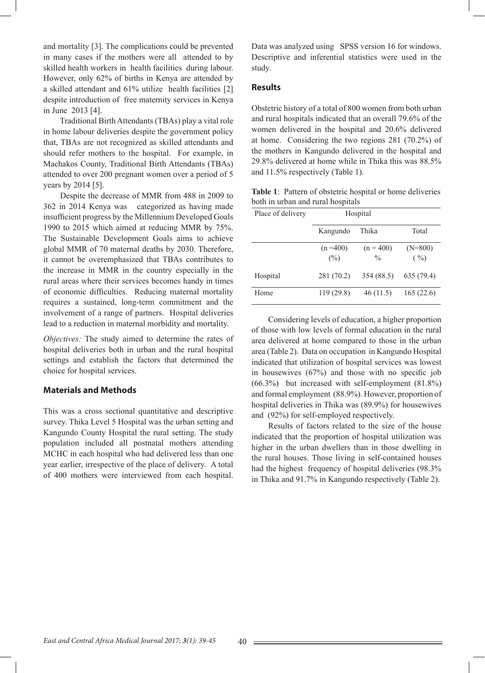and mortality [3]. The complications could be prevented in many cases if the mothers were all attended to by skilled health workers in health facilities during labour. However, only 62% of births in Kenya are attended by a skilled attendant and 61% utilize health facilities [2] despite introduction of free maternity services in Kenya in June 2013 [4].

 Traditional Birth Attendants (TBAs) play a vital role in home labour deliveries despite the government policy that, TBAs are not recognized as skilled attendants and should refer mothers to the hospital. For example, in Machakos County, Traditional Birth Attendants (TBAs) attended to over 200 pregnant women over a period of 5 years by 2014 [5].

 Despite the decrease of MMR from 488 in 2009 to 362 in 2014 Kenya was categorized as having made insufficient progress by the Millennium Developed Goals 1990 to 2015 which aimed at reducing MMR by 75%. The Sustainable Development Goals aims to achieve global MMR of 70 maternal deaths by 2030. Therefore, it cannot be overemphasized that TBAs contributes to the increase in MMR in the country especially in the rural areas where their services becomes handy in times of economic difficulties. Reducing maternal mortality requires a sustained, long-term commitment and the involvement of a range of partners. Hospital deliveries lead to a reduction in maternal morbidity and mortality.

*Objectives:* The study aimed to determine the rates of hospital deliveries both in urban and the rural hospital settings and establish the factors that determined the choice for hospital services.

#### **Materials and Methods**

This was a cross sectional quantitative and descriptive survey. Thika Level 5 Hospital was the urban setting and Kangundo County Hospital the rural setting. The study population included all postnatal mothers attending MCHC in each hospital who had delivered less than one year earlier, irrespective of the place of delivery.A total of 400 mothers were interviewed from each hospital.

Data was analyzed using SPSS version 16 for windows. Descriptive and inferential statistics were used in the study.

#### **Results**

Obstetric history of a total of 800 women from both urban and rural hospitals indicated that an overall 79.6% of the women delivered in the hospital and 20.6% delivered at home. Considering the two regions 281 (70.2%) of the mothers in Kangundo delivered in the hospital and 29.8% delivered at home while in Thika this was 88.5% and 11.5% respectively (Table 1).

**Table 1**: Pattern of obstetric hospital or home deliveries both in urban and rural hospitals

| Place of delivery | Hospital              |                              |                                |  |  |
|-------------------|-----------------------|------------------------------|--------------------------------|--|--|
|                   | Kangundo              | Thika                        | Total                          |  |  |
|                   | $(n = 400)$<br>$(\%)$ | $(n = 400)$<br>$\frac{0}{0}$ | $(N=800)$<br>$( \frac{0}{0} )$ |  |  |
| Hospital          | 281 (70.2)            | 354 (88.5)                   | 635 (79.4)                     |  |  |
| Home              | 119(29.8)             | 46(11.5)                     | 165(22.6)                      |  |  |

 Considering levels of education, a higher proportion of those with low levels of formal education in the rural area delivered at home compared to those in the urban area (Table 2). Data on occupation in Kangundo Hospital indicated that utilization of hospital services was lowest in housewives (67%) and those with no specific job  $(66.3\%)$  but increased with self-employment  $(81.8\%)$ and formal employment (88.9%). However, proportion of hospital deliveries in Thika was (89.9%) for housewives and (92%) for self-employed respectively.

 Results of factors related to the size of the house indicated that the proportion of hospital utilization was higher in the urban dwellers than in those dwelling in the rural houses. Those living in self-contained houses had the highest frequency of hospital deliveries (98.3% in Thika and 91.7% in Kangundo respectively (Table 2).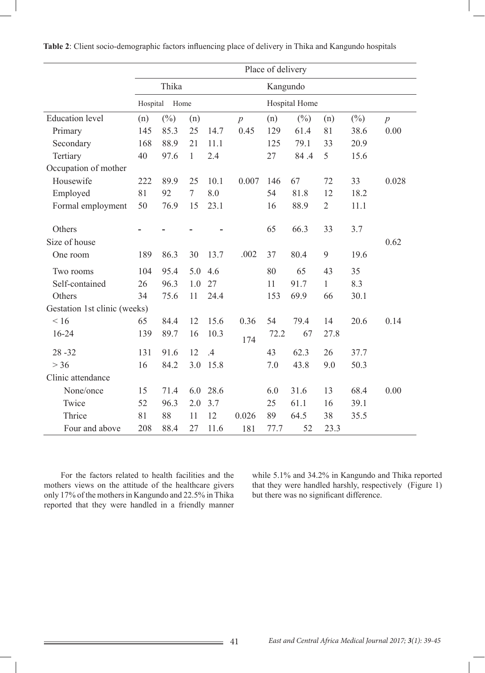|                              | Place of delivery |        |                |      |                |               |        |                |        |                  |  |
|------------------------------|-------------------|--------|----------------|------|----------------|---------------|--------|----------------|--------|------------------|--|
|                              | Thika             |        |                |      | Kangundo       |               |        |                |        |                  |  |
|                              | Hospital<br>Home  |        |                |      |                | Hospital Home |        |                |        |                  |  |
| <b>Education</b> level       | (n)               | $(\%)$ | (n)            |      | $\overline{p}$ | (n)           | $(\%)$ | (n)            | $(\%)$ | $\boldsymbol{p}$ |  |
| Primary                      | 145               | 85.3   | 25             | 14.7 | 0.45           | 129           | 61.4   | 81             | 38.6   | 0.00             |  |
| Secondary                    | 168               | 88.9   | 21             | 11.1 |                | 125           | 79.1   | 33             | 20.9   |                  |  |
| Tertiary                     | 40                | 97.6   | $\mathbf{1}$   | 2.4  |                | 27            | 84.4   | 5              | 15.6   |                  |  |
| Occupation of mother         |                   |        |                |      |                |               |        |                |        |                  |  |
| Housewife                    | 222               | 89.9   | 25             | 10.1 | 0.007          | 146           | 67     | 72             | 33     | 0.028            |  |
| Employed                     | 81                | 92     | $\overline{7}$ | 8.0  |                | 54            | 81.8   | 12             | 18.2   |                  |  |
| Formal employment            | 50                | 76.9   | 15             | 23.1 |                | 16            | 88.9   | $\overline{2}$ | 11.1   |                  |  |
|                              |                   |        |                |      |                |               |        |                |        |                  |  |
| Others                       |                   |        |                |      |                | 65            | 66.3   | 33             | 3.7    |                  |  |
| Size of house                |                   |        |                |      |                |               |        |                |        | 0.62             |  |
| One room                     | 189               | 86.3   | 30             | 13.7 | .002           | 37            | 80.4   | 9              | 19.6   |                  |  |
| Two rooms                    | 104               | 95.4   | 5.0            | 4.6  |                | 80            | 65     | 43             | 35     |                  |  |
| Self-contained               | 26                | 96.3   | 1.0            | 27   |                | 11            | 91.7   | $\mathbf{1}$   | 8.3    |                  |  |
| Others                       | 34                | 75.6   | 11             | 24.4 |                | 153           | 69.9   | 66             | 30.1   |                  |  |
| Gestation 1st clinic (weeks) |                   |        |                |      |                |               |        |                |        |                  |  |
| < 16                         | 65                | 84.4   | 12             | 15.6 | 0.36           | 54            | 79.4   | 14             | 20.6   | 0.14             |  |
| $16 - 24$                    | 139               | 89.7   | 16             | 10.3 | 174            | 72.2          | 67     | 27.8           |        |                  |  |
| $28 - 32$                    | 131               | 91.6   | 12             | .4   |                | 43            | 62.3   | 26             | 37.7   |                  |  |
| $>$ 36                       | 16                | 84.2   | 3.0            | 15.8 |                | 7.0           | 43.8   | 9.0            | 50.3   |                  |  |
| Clinic attendance            |                   |        |                |      |                |               |        |                |        |                  |  |
| None/once                    | 15                | 71.4   | 6.0            | 28.6 |                | 6.0           | 31.6   | 13             | 68.4   | 0.00             |  |
| Twice                        | 52                | 96.3   | 2.0            | 3.7  |                | 25            | 61.1   | 16             | 39.1   |                  |  |
| Thrice                       | 81                | 88     | 11             | 12   | 0.026          | 89            | 64.5   | 38             | 35.5   |                  |  |
| Four and above               | 208               | 88.4   | 27             | 11.6 | 181            | 77.7          | 52     | 23.3           |        |                  |  |

**Table 2**: Client socio-demographic factors influencing place of delivery in Thika and Kangundo hospitals

 For the factors related to health facilities and the mothers views on the attitude of the healthcare givers only 17% of the mothers in Kangundo and 22.5% in Thika reported that they were handled in a friendly manner while 5.1% and 34.2% in Kangundo and Thika reported that they were handled harshly, respectively (Figure 1) but there was no significant difference.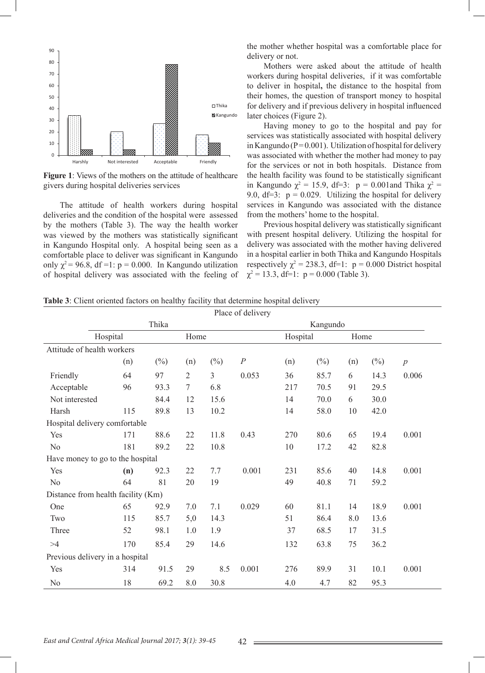

**Figure 1**: Views of the mothers on the attitude of healthcare givers during hospital deliveries services

 The attitude of health workers during hospital deliveries and the condition of the hospital were assessed by the mothers (Table 3). The way the health worker was viewed by the mothers was statistically significant in Kangundo Hospital only. A hospital being seen as a comfortable place to deliver was significant in Kangundo only  $\chi^2$  = 96.8, df =1: p = 0.000. In Kangundo utilization of hospital delivery was associated with the feeling of the mother whether hospital was a comfortable place for delivery or not.

 Mothers were asked about the attitude of health workers during hospital deliveries, if it was comfortable to deliver in hospital**,** the distance to the hospital from their homes, the question of transport money to hospital for delivery and if previous delivery in hospital influenced later choices (Figure 2).

Having money to go to the hospital and pay for services was statistically associated with hospital delivery in Kangundo ( $P = 0.001$ ). Utilization of hospital for delivery was associated with whether the mother had money to pay for the services or not in both hospitals. Distance from the health facility was found to be statistically significant in Kangundo  $\chi^2 = 15.9$ , df=3: p = 0.001 and Thika  $\chi^2 =$ 9.0,  $df=3$ :  $p = 0.029$ . Utilizing the hospital for delivery services in Kangundo was associated with the distance from the mothers' home to the hospital.

 Previous hospital delivery was statistically significant with present hospital delivery. Utilizing the hospital for delivery was associated with the mother having delivered in a hospital earlier in both Thika and Kangundo Hospitals respectively  $\chi^2 = 238.3$ , df=1:  $p = 0.000$  District hospital  $\chi^2$  = 13.3, df=1: p = 0.000 (Table 3).

| Table 3: Client oriented factors on healthy facility that determine hospital delivery |  |  |
|---------------------------------------------------------------------------------------|--|--|
|                                                                                       |  |  |

|                |                                    |        |                |        | Place of delivery |          |        |      |        |                  |  |
|----------------|------------------------------------|--------|----------------|--------|-------------------|----------|--------|------|--------|------------------|--|
|                | Thika                              |        |                |        |                   | Kangundo |        |      |        |                  |  |
|                | Hospital                           |        | Home           |        |                   | Hospital |        | Home |        |                  |  |
|                | Attitude of health workers         |        |                |        |                   |          |        |      |        |                  |  |
|                | (n)                                | $(\%)$ | (n)            | $(\%)$ | $\cal P$          | (n)      | $(\%)$ | (n)  | $(\%)$ | $\boldsymbol{p}$ |  |
| Friendly       | 64                                 | 97     | $\overline{2}$ | 3      | 0.053             | 36       | 85.7   | 6    | 14.3   | 0.006            |  |
| Acceptable     | 96                                 | 93.3   | $\tau$         | 6.8    |                   | 217      | 70.5   | 91   | 29.5   |                  |  |
| Not interested |                                    | 84.4   | 12             | 15.6   |                   | 14       | 70.0   | 6    | 30.0   |                  |  |
| Harsh          | 115                                | 89.8   | 13             | 10.2   |                   | 14       | 58.0   | 10   | 42.0   |                  |  |
|                | Hospital delivery comfortable      |        |                |        |                   |          |        |      |        |                  |  |
| Yes            | 171                                | 88.6   | 22             | 11.8   | 0.43              | 270      | 80.6   | 65   | 19.4   | 0.001            |  |
| N <sub>o</sub> | 181                                | 89.2   | 22             | 10.8   |                   | 10       | 17.2   | 42   | 82.8   |                  |  |
|                | Have money to go to the hospital   |        |                |        |                   |          |        |      |        |                  |  |
| Yes            | (n)                                | 92.3   | 22             | 7.7    | 0.001             | 231      | 85.6   | 40   | 14.8   | 0.001            |  |
| N <sub>o</sub> | 64                                 | 81     | 20             | 19     |                   | 49       | 40.8   | 71   | 59.2   |                  |  |
|                | Distance from health facility (Km) |        |                |        |                   |          |        |      |        |                  |  |
| One            | 65                                 | 92.9   | 7.0            | 7.1    | 0.029             | 60       | 81.1   | 14   | 18.9   | 0.001            |  |
| Two            | 115                                | 85.7   | 5,0            | 14.3   |                   | 51       | 86.4   | 8.0  | 13.6   |                  |  |
| Three          | 52                                 | 98.1   | 1.0            | 1.9    |                   | 37       | 68.5   | 17   | 31.5   |                  |  |
| >4             | 170                                | 85.4   | 29             | 14.6   |                   | 132      | 63.8   | 75   | 36.2   |                  |  |
|                | Previous delivery in a hospital    |        |                |        |                   |          |        |      |        |                  |  |
| Yes            | 314                                | 91.5   | 29             | 8.5    | 0.001             | 276      | 89.9   | 31   | 10.1   | 0.001            |  |
| N <sub>0</sub> | 18                                 | 69.2   | 8.0            | 30.8   |                   | 4.0      | 4.7    | 82   | 95.3   |                  |  |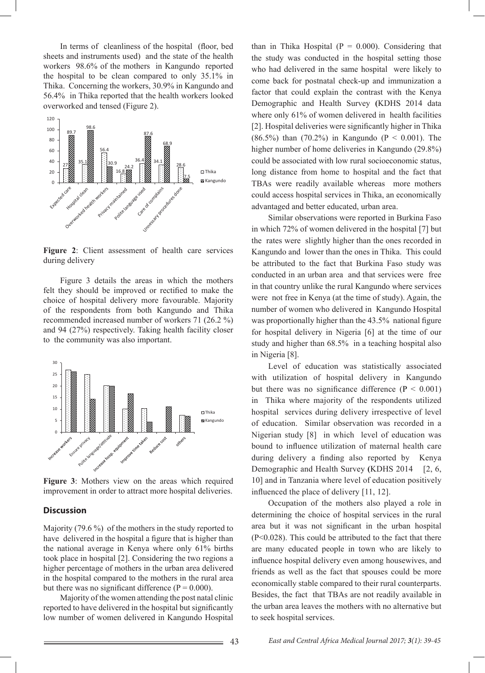In terms of cleanliness of the hospital (floor, bed sheets and instruments used) and the state of the health workers 98.6% of the mothers in Kangundo reported the hospital to be clean compared to only 35.1% in Thika. Concerning the workers, 30.9% in Kangundo and 56.4% in Thika reported that the health workers looked overworked and tensed (Figure 2).



**Figure 2**: Client assessment of health care services during delivery

 Figure 3 details the areas in which the mothers felt they should be improved or rectified to make the choice of hospital delivery more favourable. Majority of the respondents from both Kangundo and Thika recommended increased number of workers 71 (26.2 %) and 94 (27%) respectively. Taking health facility closer to the community was also important.



**Figure 3**: Mothers view on the areas which required improvement in order to attract more hospital deliveries.

#### **Discussion**

Majority (79.6 %) of the mothers in the study reported to have delivered in the hospital a figure that is higher than the national average in Kenya where only 61% births took place in hospital [2]. Considering the two regions a higher percentage of mothers in the urban area delivered in the hospital compared to the mothers in the rural area but there was no significant difference  $(P = 0.000)$ .

 Majority of the women attending the post natal clinic reported to have delivered in the hospital but significantly low number of women delivered in Kangundo Hospital

than in Thika Hospital  $(P = 0.000)$ . Considering that the study was conducted in the hospital setting those who had delivered in the same hospital were likely to come back for postnatal check-up and immunization a factor that could explain the contrast with the Kenya Demographic and Health Survey **(**KDHS 2014 data where only 61% of women delivered in health facilities [2]. Hospital deliveries were significantly higher in Thika (86.5%) than (70.2%) in Kangundo ( $P < 0.001$ ). The higher number of home deliveries in Kangundo (29.8%) could be associated with low rural socioeconomic status, long distance from home to hospital and the fact that TBAs were readily available whereas more mothers could access hospital services in Thika, an economically advantaged and better educated, urban area.

 Similar observations were reported in Burkina Faso in which 72% of women delivered in the hospital [7] but the rates were slightly higher than the ones recorded in Kangundo and lower than the ones in Thika. This could be attributed to the fact that Burkina Faso study was conducted in an urban area and that services were free in that country unlike the rural Kangundo where services were not free in Kenya (at the time of study). Again, the number of women who delivered in Kangundo Hospital was proportionally higher than the 43.5% national figure for hospital delivery in Nigeria [6] at the time of our study and higher than 68.5% in a teaching hospital also in Nigeria [8].

 Level of education was statistically associated with utilization of hospital delivery in Kangundo but there was no significance difference  $(P < 0.001)$ in Thika where majority of the respondents utilized hospital services during delivery irrespective of level of education. Similar observation was recorded in a Nigerian study [8] in which level of education was bound to influence utilization of maternal health care during delivery a finding also reported by Kenya Demographic and Health Survey (KDHS 2014 [2, 6, 10] and in Tanzania where level of education positively influenced the place of delivery [11, 12].

 Occupation of the mothers also played a role in determining the choice of hospital services in the rural area but it was not significant in the urban hospital (P<0.028). This could be attributed to the fact that there are many educated people in town who are likely to influence hospital delivery even among housewives, and friends as well as the fact that spouses could be more economically stable compared to their rural counterparts. Besides, the fact that TBAs are not readily available in the urban area leaves the mothers with no alternative but to seek hospital services.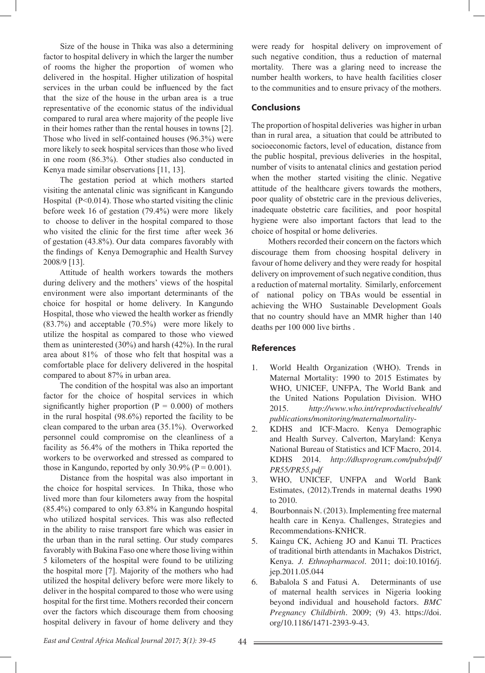Size of the house in Thika was also a determining factor to hospital delivery in which the larger the number of rooms the higher the proportion of women who delivered in the hospital. Higher utilization of hospital services in the urban could be influenced by the fact that the size of the house in the urban area is a true representative of the economic status of the individual compared to rural area where majority of the people live in their homes rather than the rental houses in towns [2]. Those who lived in self-contained houses (96.3%) were more likely to seek hospital services than those who lived in one room (86.3%). Other studies also conducted in Kenya made similar observations [11, 13].

 The gestation period at which mothers started visiting the antenatal clinic was significant in Kangundo Hospital (P<0.014). Those who started visiting the clinic before week 16 of gestation (79.4%) were more likely to choose to deliver in the hospital compared to those who visited the clinic for the first time after week 36 of gestation (43.8%). Our data compares favorably with the findings of Kenya Demographic and Health Survey 2008/9 [13].

 Attitude of health workers towards the mothers during delivery and the mothers' views of the hospital environment were also important determinants of the choice for hospital or home delivery. In Kangundo Hospital, those who viewed the health worker as friendly (83.7%) and acceptable (70.5%) were more likely to utilize the hospital as compared to those who viewed them as uninterested (30%) and harsh (42%). In the rural area about 81% of those who felt that hospital was a comfortable place for delivery delivered in the hospital compared to about 87% in urban area.

 The condition of the hospital was also an important factor for the choice of hospital services in which significantly higher proportion  $(P = 0.000)$  of mothers in the rural hospital (98.6%) reported the facility to be clean compared to the urban area (35.1%). Overworked personnel could compromise on the cleanliness of a facility as 56.4% of the mothers in Thika reported the workers to be overworked and stressed as compared to those in Kangundo, reported by only 30.9% ( $P = 0.001$ ).

 Distance from the hospital was also important in the choice for hospital services. In Thika, those who lived more than four kilometers away from the hospital (85.4%) compared to only 63.8% in Kangundo hospital who utilized hospital services. This was also reflected in the ability to raise transport fare which was easier in the urban than in the rural setting. Our study compares favorably with Bukina Faso one where those living within 5 kilometers of the hospital were found to be utilizing the hospital more [7]. Majority of the mothers who had utilized the hospital delivery before were more likely to deliver in the hospital compared to those who were using hospital for the first time. Mothers recorded their concern over the factors which discourage them from choosing hospital delivery in favour of home delivery and they

were ready for hospital delivery on improvement of such negative condition, thus a reduction of maternal mortality. There was a glaring need to increase the number health workers, to have health facilities closer to the communities and to ensure privacy of the mothers.

## **Conclusions**

The proportion of hospital deliveries was higher in urban than in rural area, a situation that could be attributed to socioeconomic factors, level of education, distance from the public hospital, previous deliveries in the hospital, number of visits to antenatal clinics and gestation period when the mother started visiting the clinic. Negative attitude of the healthcare givers towards the mothers, poor quality of obstetric care in the previous deliveries, inadequate obstetric care facilities, and poor hospital hygiene were also important factors that lead to the choice of hospital or home deliveries.

 Mothers recorded their concern on the factors which discourage them from choosing hospital delivery in favour of home delivery and they were ready for hospital delivery on improvement of such negative condition, thus a reduction of maternal mortality. Similarly, enforcement of national policy on TBAs would be essential in achieving the WHOSustainable Development Goals that no country should have an MMR higher than 140 deaths per 100 000 live births .

## **References**

- 1. World Health Organization (WHO). Trends in Maternal Mortality: 1990 to 2015 Estimates by WHO, UNICEF, UNFPA, The World Bank and the United Nations Population Division. WHO 2015. *http://www.who.int/reproductivehealth/ publications/monitoring/maternalmortality*-
- 2. KDHS and ICF-Macro. Kenya Demographic and Health Survey. Calverton, Maryland: Kenya National Bureau of Statistics and ICF Macro, 2014. KDHS 2014. *http://dhsprogram.com/pubs/pdf/ PR55/PR55.pdf*
- 3. WHO, UNICEF, UNFPA and World Bank Estimates, (2012).Trends in maternal deaths 1990 to 2010.
- 4. Bourbonnais N. (2013). Implementing free maternal health care in Kenya. Challenges, Strategies and Recommendations-KNHCR.
- 5. Kaingu CK, Achieng JO and Kanui TI. Practices of traditional birth attendants in Machakos District, Kenya. *J. Ethnopharmacol*. 2011; doi:10.1016/j. jep.2011.05.044
- 6. Babalola S and Fatusi A. Determinants of use of maternal health services in Nigeria looking beyond individual and household factors. *BMC Pregnancy Childbirth*. 2009; (9) 43. https://doi. org/10.1186/1471-2393-9-43.